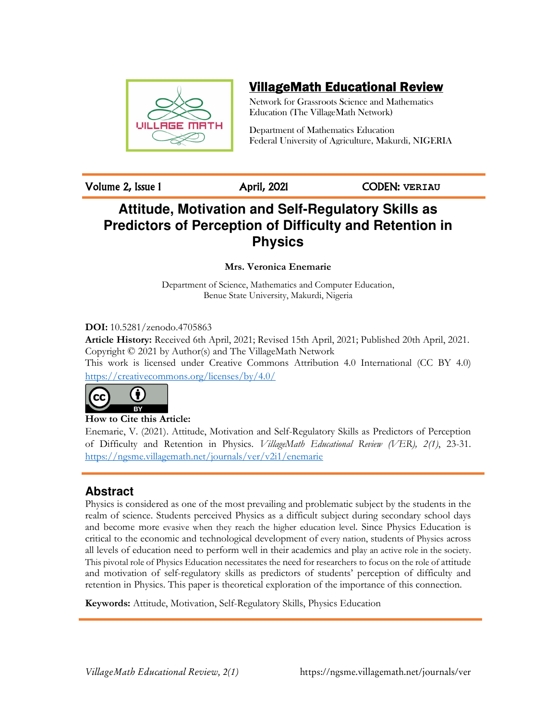

# VillageMath Educational Review

Network for Grassroots Science and Mathematics Education (The VillageMath Network)

Department of Mathematics Education Federal University of Agriculture, Makurdi, NIGERIA

Volume 2, Issue 1 April, 2021 CODEN: **VERIAU**

# **Attitude, Motivation and Self-Regulatory Skills as Predictors of Perception of Difficulty and Retention in Physics**

**Mrs. Veronica Enemarie** 

Department of Science, Mathematics and Computer Education, Benue State University, Makurdi, Nigeria

**DOI:** 10.5281/zenodo.4705863

**Article History:** Received 6th April, 2021; Revised 15th April, 2021; Published 20th April, 2021. Copyright © 2021 by Author(s) and The VillageMath Network This work is licensed under Creative Commons Attribution 4.0 International (CC BY 4.0)

https://creativecommons.org/licenses/by/4.0/



**How to Cite this Article:** 

Enemarie, V. (2021). Attitude, Motivation and Self-Regulatory Skills as Predictors of Perception of Difficulty and Retention in Physics. *VillageMath Educational Review (VER), 2(1)*, 23-31. https://ngsme.villagemath.net/journals/ver/v2i1/enemarie

## **Abstract**

Physics is considered as one of the most prevailing and problematic subject by the students in the realm of science. Students perceived Physics as a difficult subject during secondary school days and become more evasive when they reach the higher education level. Since Physics Education is critical to the economic and technological development of every nation, students of Physics across all levels of education need to perform well in their academics and play an active role in the society. This pivotal role of Physics Education necessitates the need for researchers to focus on the role of attitude and motivation of self-regulatory skills as predictors of students' perception of difficulty and retention in Physics. This paper is theoretical exploration of the importance of this connection.

**Keywords:** Attitude, Motivation, Self-Regulatory Skills, Physics Education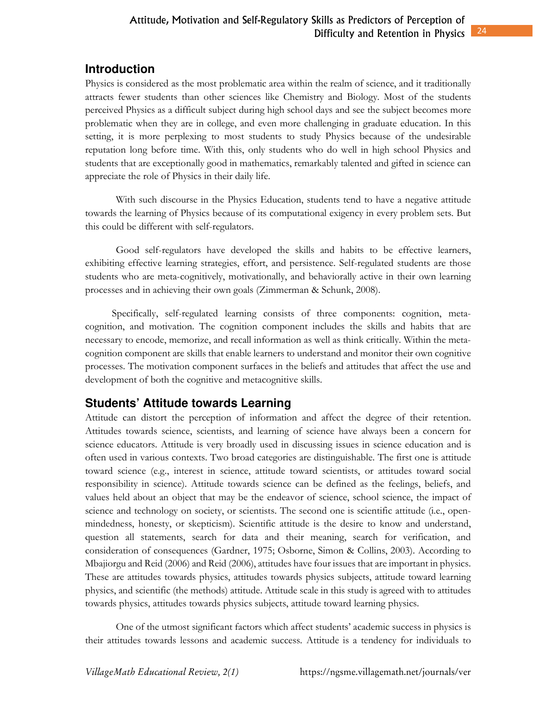### Difficulty and Retention in Physics 24 Attitude, Motivation and Self-Regulatory Skills as Predictors of Perception of

## **Introduction**

Physics is considered as the most problematic area within the realm of science, and it traditionally attracts fewer students than other sciences like Chemistry and Biology. Most of the students perceived Physics as a difficult subject during high school days and see the subject becomes more problematic when they are in college, and even more challenging in graduate education. In this setting, it is more perplexing to most students to study Physics because of the undesirable reputation long before time. With this, only students who do well in high school Physics and students that are exceptionally good in mathematics, remarkably talented and gifted in science can appreciate the role of Physics in their daily life.

With such discourse in the Physics Education, students tend to have a negative attitude towards the learning of Physics because of its computational exigency in every problem sets. But this could be different with self-regulators.

Good self-regulators have developed the skills and habits to be effective learners, exhibiting effective learning strategies, effort, and persistence. Self-regulated students are those students who are meta-cognitively, motivationally, and behaviorally active in their own learning processes and in achieving their own goals (Zimmerman & Schunk, 2008).

 Specifically, self-regulated learning consists of three components: cognition, metacognition, and motivation. The cognition component includes the skills and habits that are necessary to encode, memorize, and recall information as well as think critically. Within the metacognition component are skills that enable learners to understand and monitor their own cognitive processes. The motivation component surfaces in the beliefs and attitudes that affect the use and development of both the cognitive and metacognitive skills.

## **Students' Attitude towards Learning**

Attitude can distort the perception of information and affect the degree of their retention. Attitudes towards science, scientists, and learning of science have always been a concern for science educators. Attitude is very broadly used in discussing issues in science education and is often used in various contexts. Two broad categories are distinguishable. The first one is attitude toward science (e.g., interest in science, attitude toward scientists, or attitudes toward social responsibility in science). Attitude towards science can be defined as the feelings, beliefs, and values held about an object that may be the endeavor of science, school science, the impact of science and technology on society, or scientists. The second one is scientific attitude (i.e., openmindedness, honesty, or skepticism). Scientific attitude is the desire to know and understand, question all statements, search for data and their meaning, search for verification, and consideration of consequences (Gardner, 1975; Osborne, Simon & Collins, 2003). According to Mbajiorgu and Reid (2006) and Reid (2006), attitudes have four issues that are important in physics. These are attitudes towards physics, attitudes towards physics subjects, attitude toward learning physics, and scientific (the methods) attitude. Attitude scale in this study is agreed with to attitudes towards physics, attitudes towards physics subjects, attitude toward learning physics.

One of the utmost significant factors which affect students' academic success in physics is their attitudes towards lessons and academic success. Attitude is a tendency for individuals to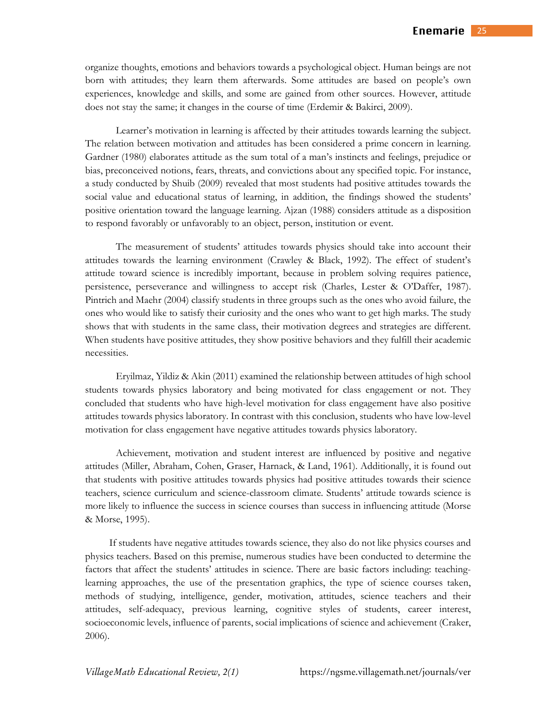organize thoughts, emotions and behaviors towards a psychological object. Human beings are not born with attitudes; they learn them afterwards. Some attitudes are based on people's own experiences, knowledge and skills, and some are gained from other sources. However, attitude does not stay the same; it changes in the course of time (Erdemir & Bakirci, 2009).

Learner's motivation in learning is affected by their attitudes towards learning the subject. The relation between motivation and attitudes has been considered a prime concern in learning. Gardner (1980) elaborates attitude as the sum total of a man's instincts and feelings, prejudice or bias, preconceived notions, fears, threats, and convictions about any specified topic. For instance, a study conducted by Shuib (2009) revealed that most students had positive attitudes towards the social value and educational status of learning, in addition, the findings showed the students' positive orientation toward the language learning. Ajzan (1988) considers attitude as a disposition to respond favorably or unfavorably to an object, person, institution or event.

The measurement of students' attitudes towards physics should take into account their attitudes towards the learning environment (Crawley & Black, 1992). The effect of student's attitude toward science is incredibly important, because in problem solving requires patience, persistence, perseverance and willingness to accept risk (Charles, Lester & O'Daffer, 1987). Pintrich and Maehr (2004) classify students in three groups such as the ones who avoid failure, the ones who would like to satisfy their curiosity and the ones who want to get high marks. The study shows that with students in the same class, their motivation degrees and strategies are different. When students have positive attitudes, they show positive behaviors and they fulfill their academic necessities.

Eryilmaz, Yildiz & Akin (2011) examined the relationship between attitudes of high school students towards physics laboratory and being motivated for class engagement or not. They concluded that students who have high-level motivation for class engagement have also positive attitudes towards physics laboratory. In contrast with this conclusion, students who have low-level motivation for class engagement have negative attitudes towards physics laboratory.

Achievement, motivation and student interest are influenced by positive and negative attitudes (Miller, Abraham, Cohen, Graser, Harnack, & Land, 1961). Additionally, it is found out that students with positive attitudes towards physics had positive attitudes towards their science teachers, science curriculum and science-classroom climate. Students' attitude towards science is more likely to influence the success in science courses than success in influencing attitude (Morse & Morse, 1995).

If students have negative attitudes towards science, they also do not like physics courses and physics teachers. Based on this premise, numerous studies have been conducted to determine the factors that affect the students' attitudes in science. There are basic factors including: teachinglearning approaches, the use of the presentation graphics, the type of science courses taken, methods of studying, intelligence, gender, motivation, attitudes, science teachers and their attitudes, self-adequacy, previous learning, cognitive styles of students, career interest, socioeconomic levels, influence of parents, social implications of science and achievement (Craker, 2006).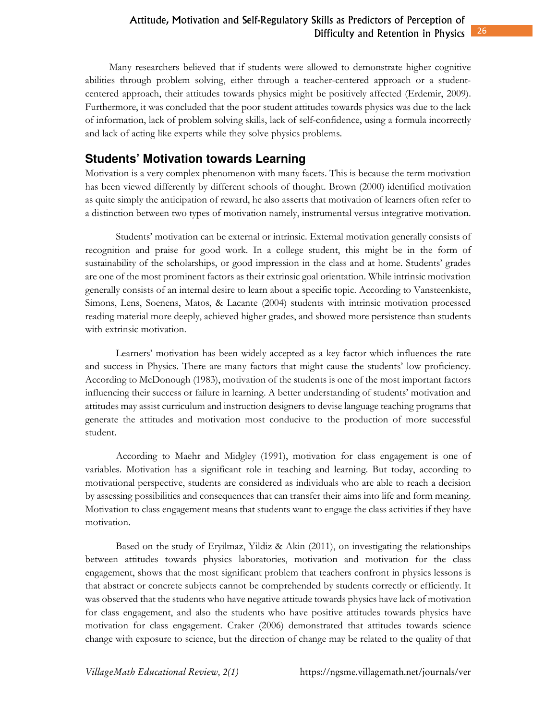Many researchers believed that if students were allowed to demonstrate higher cognitive abilities through problem solving, either through a teacher-centered approach or a studentcentered approach, their attitudes towards physics might be positively affected (Erdemir, 2009). Furthermore, it was concluded that the poor student attitudes towards physics was due to the lack of information, lack of problem solving skills, lack of self-confidence, using a formula incorrectly and lack of acting like experts while they solve physics problems.

## **Students' Motivation towards Learning**

Motivation is a very complex phenomenon with many facets. This is because the term motivation has been viewed differently by different schools of thought. Brown (2000) identified motivation as quite simply the anticipation of reward, he also asserts that motivation of learners often refer to a distinction between two types of motivation namely, instrumental versus integrative motivation.

Students' motivation can be external or intrinsic. External motivation generally consists of recognition and praise for good work. In a college student, this might be in the form of sustainability of the scholarships, or good impression in the class and at home. Students' grades are one of the most prominent factors as their extrinsic goal orientation. While intrinsic motivation generally consists of an internal desire to learn about a specific topic. According to Vansteenkiste, Simons, Lens, Soenens, Matos, & Lacante (2004) students with intrinsic motivation processed reading material more deeply, achieved higher grades, and showed more persistence than students with extrinsic motivation.

Learners' motivation has been widely accepted as a key factor which influences the rate and success in Physics. There are many factors that might cause the students' low proficiency. According to McDonough (1983), motivation of the students is one of the most important factors influencing their success or failure in learning. A better understanding of students' motivation and attitudes may assist curriculum and instruction designers to devise language teaching programs that generate the attitudes and motivation most conducive to the production of more successful student.

According to Maehr and Midgley (1991), motivation for class engagement is one of variables. Motivation has a significant role in teaching and learning. But today, according to motivational perspective, students are considered as individuals who are able to reach a decision by assessing possibilities and consequences that can transfer their aims into life and form meaning. Motivation to class engagement means that students want to engage the class activities if they have motivation.

Based on the study of Eryilmaz, Yildiz & Akin (2011), on investigating the relationships between attitudes towards physics laboratories, motivation and motivation for the class engagement, shows that the most significant problem that teachers confront in physics lessons is that abstract or concrete subjects cannot be comprehended by students correctly or efficiently. It was observed that the students who have negative attitude towards physics have lack of motivation for class engagement, and also the students who have positive attitudes towards physics have motivation for class engagement. Craker (2006) demonstrated that attitudes towards science change with exposure to science, but the direction of change may be related to the quality of that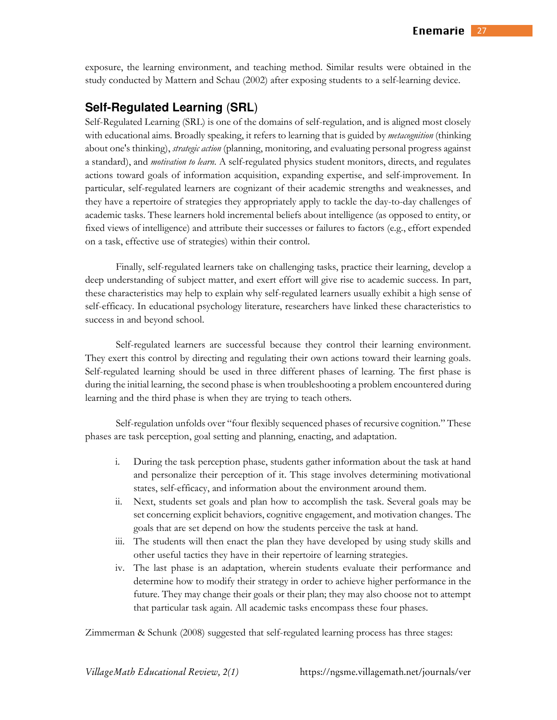exposure, the learning environment, and teaching method. Similar results were obtained in the study conducted by Mattern and Schau (2002) after exposing students to a self-learning device.

## **Self-Regulated Learning** (**SRL**)

Self-Regulated Learning (SRL) is one of the domains of self-regulation, and is aligned most closely with educational aims. Broadly speaking, it refers to learning that is guided by *metacognition* (thinking about one's thinking), *strategic action* (planning, monitoring, and evaluating personal progress against a standard), and *motivation to learn*. A self-regulated physics student monitors, directs, and regulates actions toward goals of information acquisition, expanding expertise, and self-improvement. In particular, self-regulated learners are cognizant of their academic strengths and weaknesses, and they have a repertoire of strategies they appropriately apply to tackle the day-to-day challenges of academic tasks. These learners hold incremental beliefs about intelligence (as opposed to entity, or fixed views of intelligence) and attribute their successes or failures to factors (e.g., effort expended on a task, effective use of strategies) within their control.

Finally, self-regulated learners take on challenging tasks, practice their learning, develop a deep understanding of subject matter, and exert effort will give rise to academic success. In part, these characteristics may help to explain why self-regulated learners usually exhibit a high sense of self-efficacy. In educational psychology literature, researchers have linked these characteristics to success in and beyond school.

Self-regulated learners are successful because they control their learning environment. They exert this control by directing and regulating their own actions toward their learning goals. Self-regulated learning should be used in three different phases of learning. The first phase is during the initial learning, the second phase is when troubleshooting a problem encountered during learning and the third phase is when they are trying to teach others.

Self-regulation unfolds over "four flexibly sequenced phases of recursive cognition." These phases are task perception, goal setting and planning, enacting, and adaptation.

- i. During the task perception phase, students gather information about the task at hand and personalize their perception of it. This stage involves determining motivational states, self-efficacy, and information about the environment around them.
- ii. Next, students set goals and plan how to accomplish the task. Several goals may be set concerning explicit behaviors, cognitive engagement, and motivation changes. The goals that are set depend on how the students perceive the task at hand.
- iii. The students will then enact the plan they have developed by using study skills and other useful tactics they have in their repertoire of learning strategies.
- iv. The last phase is an adaptation, wherein students evaluate their performance and determine how to modify their strategy in order to achieve higher performance in the future. They may change their goals or their plan; they may also choose not to attempt that particular task again. All academic tasks encompass these four phases.

Zimmerman & Schunk (2008) suggested that self-regulated learning process has three stages: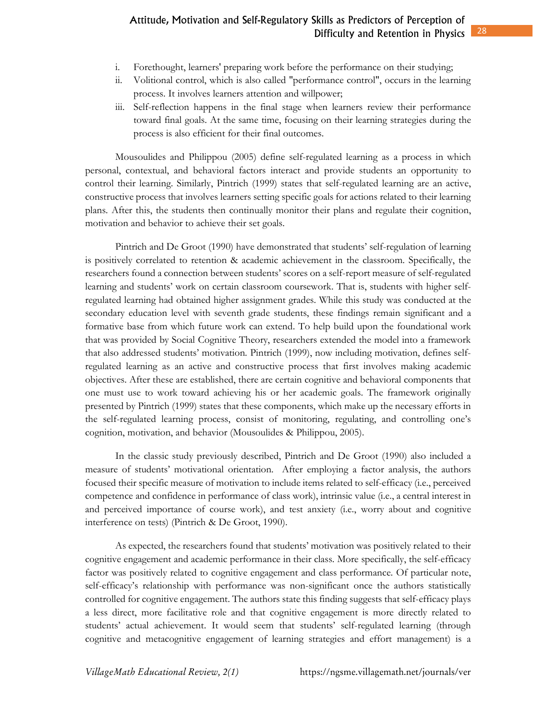- ii. Volitional control, which is also called "performance control", occurs in the learning process. It involves learners attention and willpower;
- iii. Self-reflection happens in the final stage when learners review their performance toward final goals. At the same time, focusing on their learning strategies during the process is also efficient for their final outcomes.

Mousoulides and Philippou (2005) define self-regulated learning as a process in which personal, contextual, and behavioral factors interact and provide students an opportunity to control their learning. Similarly, Pintrich (1999) states that self-regulated learning are an active, constructive process that involves learners setting specific goals for actions related to their learning plans. After this, the students then continually monitor their plans and regulate their cognition, motivation and behavior to achieve their set goals.

Pintrich and De Groot (1990) have demonstrated that students' self-regulation of learning is positively correlated to retention & academic achievement in the classroom. Specifically, the researchers found a connection between students' scores on a self-report measure of self-regulated learning and students' work on certain classroom coursework. That is, students with higher selfregulated learning had obtained higher assignment grades. While this study was conducted at the secondary education level with seventh grade students, these findings remain significant and a formative base from which future work can extend. To help build upon the foundational work that was provided by Social Cognitive Theory, researchers extended the model into a framework that also addressed students' motivation. Pintrich (1999), now including motivation, defines selfregulated learning as an active and constructive process that first involves making academic objectives. After these are established, there are certain cognitive and behavioral components that one must use to work toward achieving his or her academic goals. The framework originally presented by Pintrich (1999) states that these components, which make up the necessary efforts in the self-regulated learning process, consist of monitoring, regulating, and controlling one's cognition, motivation, and behavior (Mousoulides & Philippou, 2005).

In the classic study previously described, Pintrich and De Groot (1990) also included a measure of students' motivational orientation. After employing a factor analysis, the authors focused their specific measure of motivation to include items related to self-efficacy (i.e., perceived competence and confidence in performance of class work), intrinsic value (i.e., a central interest in and perceived importance of course work), and test anxiety (i.e., worry about and cognitive interference on tests) (Pintrich & De Groot, 1990).

As expected, the researchers found that students' motivation was positively related to their cognitive engagement and academic performance in their class. More specifically, the self-efficacy factor was positively related to cognitive engagement and class performance. Of particular note, self-efficacy's relationship with performance was non-significant once the authors statistically controlled for cognitive engagement. The authors state this finding suggests that self-efficacy plays a less direct, more facilitative role and that cognitive engagement is more directly related to students' actual achievement. It would seem that students' self-regulated learning (through cognitive and metacognitive engagement of learning strategies and effort management) is a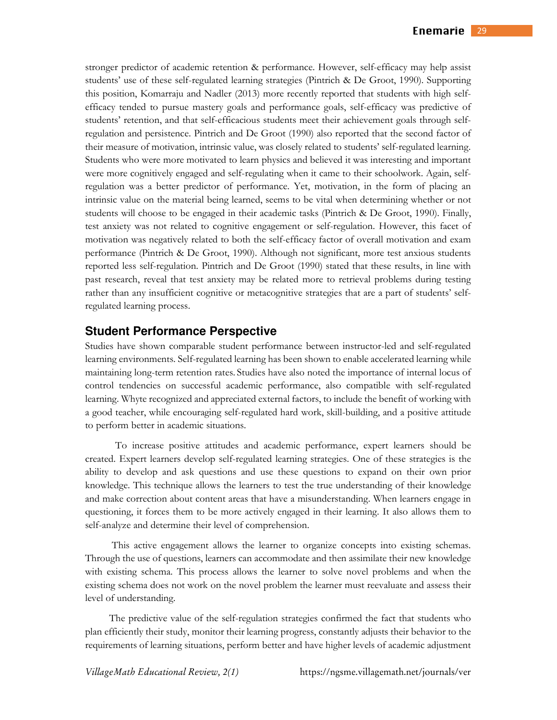stronger predictor of academic retention & performance. However, self-efficacy may help assist students' use of these self-regulated learning strategies (Pintrich & De Groot, 1990). Supporting this position, Komarraju and Nadler (2013) more recently reported that students with high selfefficacy tended to pursue mastery goals and performance goals, self-efficacy was predictive of students' retention, and that self-efficacious students meet their achievement goals through selfregulation and persistence. Pintrich and De Groot (1990) also reported that the second factor of their measure of motivation, intrinsic value, was closely related to students' self-regulated learning. Students who were more motivated to learn physics and believed it was interesting and important were more cognitively engaged and self-regulating when it came to their schoolwork. Again, selfregulation was a better predictor of performance. Yet, motivation, in the form of placing an intrinsic value on the material being learned, seems to be vital when determining whether or not students will choose to be engaged in their academic tasks (Pintrich & De Groot, 1990). Finally, test anxiety was not related to cognitive engagement or self-regulation. However, this facet of motivation was negatively related to both the self-efficacy factor of overall motivation and exam performance (Pintrich & De Groot, 1990). Although not significant, more test anxious students reported less self-regulation. Pintrich and De Groot (1990) stated that these results, in line with past research, reveal that test anxiety may be related more to retrieval problems during testing rather than any insufficient cognitive or metacognitive strategies that are a part of students' selfregulated learning process.

#### **Student Performance Perspective**

Studies have shown comparable student performance between instructor-led and self-regulated learning environments. Self-regulated learning has been shown to enable accelerated learning while maintaining long-term retention rates. Studies have also noted the importance of internal locus of control tendencies on successful academic performance, also compatible with self-regulated learning. Whyte recognized and appreciated external factors, to include the benefit of working with a good teacher, while encouraging self-regulated hard work, skill-building, and a positive attitude to perform better in academic situations.

To increase positive attitudes and academic performance, expert learners should be created. Expert learners develop self-regulated learning strategies. One of these strategies is the ability to develop and ask questions and use these questions to expand on their own prior knowledge. This technique allows the learners to test the true understanding of their knowledge and make correction about content areas that have a misunderstanding. When learners engage in questioning, it forces them to be more actively engaged in their learning. It also allows them to self-analyze and determine their level of comprehension.

 This active engagement allows the learner to organize concepts into existing schemas. Through the use of questions, learners can accommodate and then assimilate their new knowledge with existing schema. This process allows the learner to solve novel problems and when the existing schema does not work on the novel problem the learner must reevaluate and assess their level of understanding.

The predictive value of the self-regulation strategies confirmed the fact that students who plan efficiently their study, monitor their learning progress, constantly adjusts their behavior to the requirements of learning situations, perform better and have higher levels of academic adjustment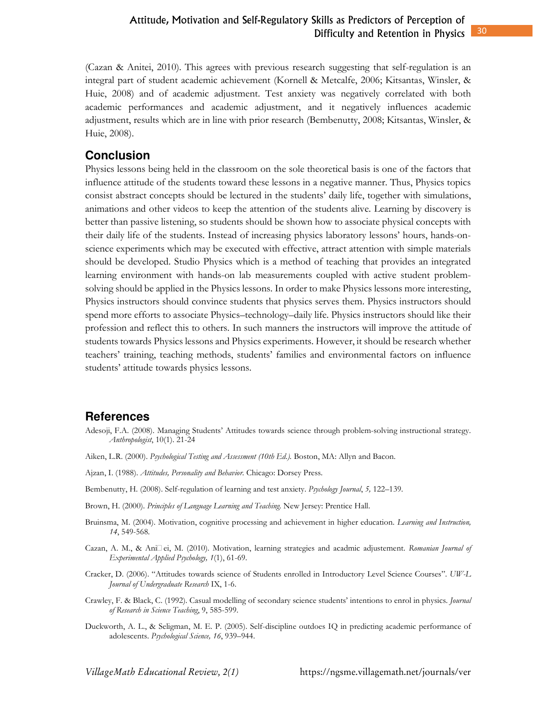### Attitude, Motivation and Self-Regulatory Skills as Predictors of Perception of Difficulty and Retention in Physics

(Cazan & Anitei, 2010). This agrees with previous research suggesting that self-regulation is an integral part of student academic achievement (Kornell & Metcalfe, 2006; Kitsantas, Winsler, & Huie, 2008) and of academic adjustment. Test anxiety was negatively correlated with both academic performances and academic adjustment, and it negatively influences academic adjustment, results which are in line with prior research (Bembenutty, 2008; Kitsantas, Winsler, & Huie, 2008).

#### **Conclusion**

Physics lessons being held in the classroom on the sole theoretical basis is one of the factors that influence attitude of the students toward these lessons in a negative manner. Thus, Physics topics consist abstract concepts should be lectured in the students' daily life, together with simulations, animations and other videos to keep the attention of the students alive. Learning by discovery is better than passive listening, so students should be shown how to associate physical concepts with their daily life of the students. Instead of increasing physics laboratory lessons' hours, hands-onscience experiments which may be executed with effective, attract attention with simple materials should be developed. Studio Physics which is a method of teaching that provides an integrated learning environment with hands-on lab measurements coupled with active student problemsolving should be applied in the Physics lessons. In order to make Physics lessons more interesting, Physics instructors should convince students that physics serves them. Physics instructors should spend more efforts to associate Physics–technology–daily life. Physics instructors should like their profession and reflect this to others. In such manners the instructors will improve the attitude of students towards Physics lessons and Physics experiments. However, it should be research whether teachers' training, teaching methods, students' families and environmental factors on influence students' attitude towards physics lessons.

#### **References**

- Adesoji, F.A. (2008). Managing Students' Attitudes towards science through problem-solving instructional strategy. *Anthropologist*, 10(1). 21-24
- Aiken, L.R. (2000). *Psychological Testing and Assessment (10th Ed.)*. Boston, MA: Allyn and Bacon.
- Ajzan, I. (1988). *Attitudes, Personality and Behavior.* Chicago: Dorsey Press.
- Bembenutty, H. (2008). Self-regulation of learning and test anxiety. *Psychology Journal*, *5,* 122–139.
- Brown, H. (2000). *Principles of Language Learning and Teaching.* New Jersey: Prentice Hall.
- Bruinsma, M. (2004). Motivation, cognitive processing and achievement in higher education. *Learning and Instruction, 14*, 549-568.
- Cazan, A. M., & Ani<sup>n</sup>ei, M. (2010). Motivation, learning strategies and acadmic adjustement. *Romanian Journal of Experimental Applied Psychology, 1*(1), 61-69.
- Cracker, D. (2006). "Attitudes towards science of Students enrolled in Introductory Level Science Courses". *UW-L Journal of Undergraduate Research* IX, 1-6.
- Crawley, F. & Black, C. (1992). Casual modelling of secondary science students' intentions to enrol in physics. *Journal of Research in Science Teaching*, 9, 585-599.
- Duckworth, A. L., & Seligman, M. E. P. (2005). Self-discipline outdoes IQ in predicting academic performance of adolescents. *Psychological Science, 16*, 939–944.

*VillageMath Educational Review, 2(1)* https://ngsme.villagemath.net/journals/ver